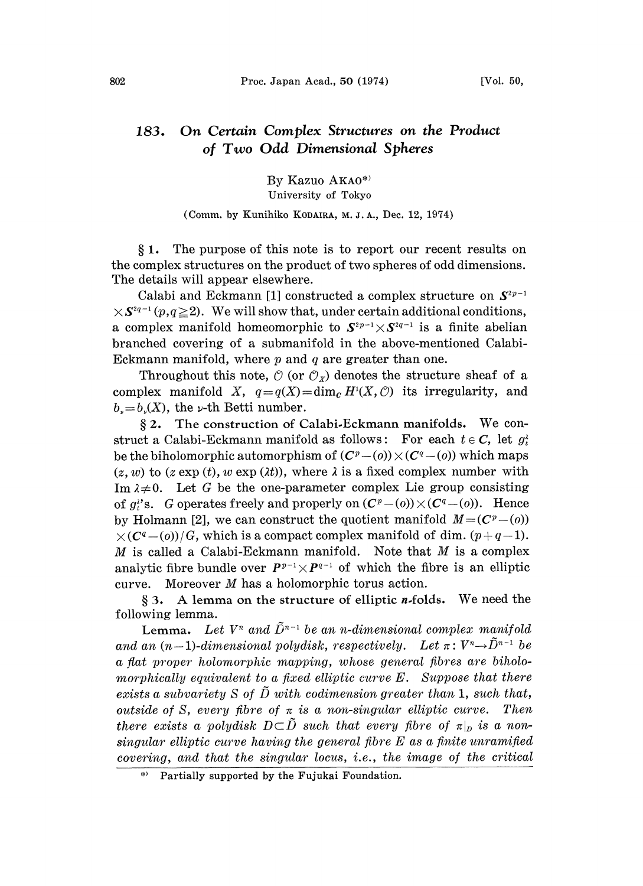## 183. On Certain Complex Structures on the Product of Two Odd Dimensional Spheres

By Kazuo AKAO\*)

University of Tokyo

## (Comm. by Kunihiko KODAIRA, M. J. A., Dec. 12, 1974)

1. The purpose of this note is to report our recent results on the complex structures on the product of two spheres of odd dimensions. The details will appear elsewhere.

Calabi and Eckmann [1] constructed a complex structure on  $S^{2p-1}$  $\times S^{2q-1}(p,q\geq 2)$ . We will show that, under certain additional conditions, a complex manifold homeomorphic to  $S^{2p-1} \times S^{2q-1}$  is a finite abelian branched covering of a submanifold in the above-mentioned Calabi-Eckmann manifold, where  $p$  and  $q$  are greater than one.

Throughout this note,  $\mathcal{O}$  (or  $\mathcal{O}_X$ ) denotes the structure sheaf of a complex manifold X,  $q=q(X)=\dim_{\mathcal{C}}H^1(X,\mathcal{O})$  its irregularity, and  $b_{\nu}=b_{\nu}(X)$ , the  $\nu$ -th Betti number.

2. The construction of Calabi.Eckmann manifolds. We construct a Calabi-Eckmann manifold as follows: For each  $t \in C$ , let  $g_t^1$ be the biholomorphic automorphism of  $(C^p - (o)) \times (C^q - (o))$  which maps  $(z, w)$  to  $(z \exp(t), w \exp(\lambda t))$ , where  $\lambda$  is a fixed complex number with Im  $\lambda \neq 0$ . Let G be the one-parameter complex Lie group consisting of  $g_t^s$ 's. G operates freely and properly on  $(C^p - (0) ) \times (C^q - (0))$ . Hence by Holmann [2], we can construct the quotient manifold  $M=(C^p-(o))$  $\times (C^q-0)/G$ , which is a compact complex manifold of dim.  $(p+q-1)$ . M is called a Calabi-Eckmann manifold. Note that  $M$  is a complex analytic fibre bundle over  $P^{p-1} \times P^{q-1}$  of which the fibre is an elliptic curve. Moreover M has <sup>a</sup> holomorphie torus action.

 $§ 3. A lemma on the structure of elliptic *n*-folds. We need the$ following lemma.

Lemma. Let  $V^n$  and  $\tilde{D}^{n-1}$  be an n-dimensional complex manifold and an  $(n-1)$ -dimensional polydisk, respectively. Let  $\pi: V^n \rightarrow \tilde{D}^{n-1}$  be<br>a flat proper belomerable magning, whose general fibres are biboloa fiat proper holomorphic mapping, whose general fibres are biholomorphically equivalent to a fixed elliptic curve  $E$ . Suppose that there exists a subvariety S of  $\tilde{D}$  with codimension greater than 1, such that, outside of S, every fibre of  $\pi$  is a non-singular elliptic curve. Then there exists a polydisk  $D\subset\tilde{D}$  such that every fibre of  $\pi|_D$  is a nonsingular elliptic curve having the general fibre  $E$  as a finite unramified covering, and that the singular locus, i.e., the image of the critical

<sup>\*)</sup> Partially supported by the Fujukai Foundation.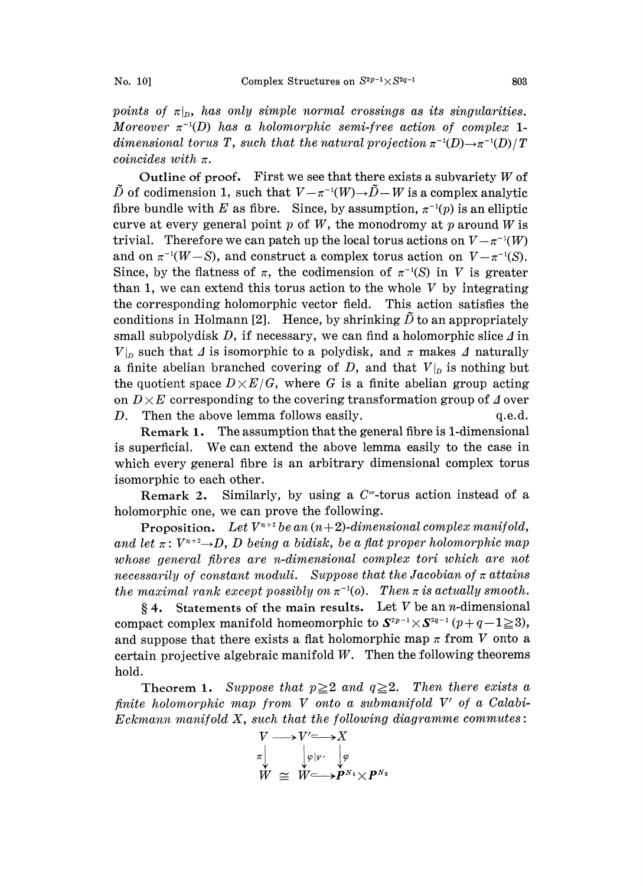points of  $\pi|_p$ , has only simple normal crossings as its singularities. Moreover  $\pi^{-1}(D)$  has a holomorphic semi-free action of complex 1dimensional torus T, such that the natural projection  $\pi^{-1}(D) \to \pi^{-1}(D)/T$ coincides with  $\pi$ .

Outline of proof. First we see that there exists a subvariety  $W$  of D of codimension 1, such that  $V - \pi^{-1}(W) \rightarrow D - W$  is a complex analytic fibre bundle with E as fibre. Since, by assumption,  $\pi^{-1}(p)$  is an elliptic curve at every general point  $p$  of  $W$ , the monodromy at  $p$  around  $W$  is trivial. Therefore we can patch up the local torus actions on  $V-\pi^{-1}(W)$ and on  $\pi^{-1}(W-S)$ , and construct a complex torus action on  $V-\pi^{-1}(S)$ . Since, by the flatness of  $\pi$ , the codimension of  $\pi^{-1}(S)$  in V is greater than 1, we can extend this torus action to the whole  $V$  by integrating the corresponding holomorphic vector field. This action satisfies the conditions in Holmann [2]. Hence, by shrinking  $\tilde{D}$  to an appropriately small subpolydisk  $D$ , if necessary, we can find a holomorphic slice  $\Delta$  in  $V|_p$  such that  $\Delta$  is isomorphic to a polydisk, and  $\pi$  makes  $\Delta$  naturally a finite abelian branched covering of D, and that  $V|_p$  is nothing but the quotient space  $D\times E/G$ , where G is a finite abelian group acting on  $D \times E$  corresponding to the covering transformation group of  $\Delta$  over D. Then the above lemma follows easily.  $q.e.d.$ 

Remark 1. The assumption that the general fibre is 1-dimensional is superficial. We can extend the above lemma easily to the case in which every general fibre is an arbitrary dimensional complex torus isomorphic to each other.

Remark 2. Similarly, by using a  $C^*$ -torus action instead of a holomorphic one, we can prove the following.

**Proposition.** Let  $V^{n+2}$  be an  $(n+2)$ -dimensional complex manifold, and let  $\pi: V^{n+2}\rightarrow D$ , D being a bidisk, be a flat proper holomorphic map<br>whose general fibres are n-dimensional complex tori which are not whose general fibres are n-dimensional complex tori which are not necessarily of constant moduli. Suppose that the Jacobian of  $\pi$  attains the maximal rank except possibly on  $\pi^{-1}(o)$ . Then  $\pi$  is actually smooth.

§ 4. Statements of the main results. Let V be an *n*-dimensional compact complex manifold homeomorphic to  $S^{2p-1} \times S^{2q-1}$   $(p+q-1 \ge 3)$ , and suppose that there exists a flat holomorphic map  $\pi$  from V onto a certain projective algebraic manifold  $W$ . Then the following theorems hold.

Theorem 1. Suppose that  $p\geq 2$  and  $q\geq 2$ . Then there exists a finite holomorphic map from V onto <sup>a</sup> submanifold V' of <sup>a</sup> Calabi-Eckmann manifold X, such that the following diagramme commutes:<br> $V \longrightarrow V' \longrightarrow X$ 

$$
V \longrightarrow V' \longrightarrow X
$$
  
\n
$$
\pi \downarrow \qquad \downarrow \varphi|_{V'} \downarrow \varphi
$$
  
\n
$$
W \cong W \longrightarrow P^{N_1} \times P^{N_2}
$$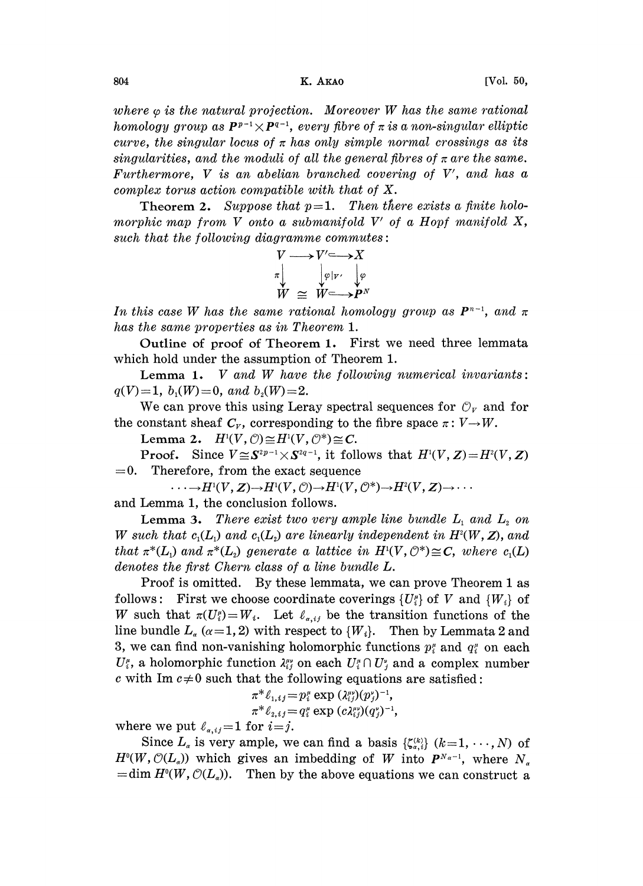where  $\varphi$  is the natural projection. Moreover W has the same rational homology group as  $P^{p-1} \times P^{q-1}$ , every fibre of  $\pi$  is a non-singular elliptic curve, the singular locus of  $\pi$  has only simple normal crossings as its singularities, and the moduli of all the general fibres of  $\pi$  are the same. Furthermore,  $V$  is an abelian branched covering of  $V'$ , and has a complex torus action compatible with that of X.

**Theorem 2.** Suppose that  $p=1$ . Then there exists a finite holomorphic map from V onto a submanifold  $V'$  of a Hopf manifold  $X$ , such that the following diagramme commutes:

$$
V \longrightarrow V' \longrightarrow X
$$
  
\n
$$
\pi \downarrow \qquad \qquad \downarrow \varphi \downarrow \qquad \downarrow \varphi
$$
  
\n
$$
W \cong W \longrightarrow P^N
$$

In this case W has the same rational homology group as  $P^{n-1}$ , and  $\pi$ has the same properties as in Theorem 1.

Outline of proof of Theorem 1. First we need three lemmata which hold under the assumption of Theorem 1.

**Lemma 1.** V and W have the following numerical invariants:  $q(V)=1, b_1(W)=0, and b_2(W)=2.$ 

We can prove this using Leray spectral sequences for  $\mathcal{O}_V$  and for the constant sheaf  $C_v$ , corresponding to the fibre space  $\pi: V \to W$ .

Lemma 2.  $H^1(V, \mathcal{O}) \cong H^1(V, \mathcal{O}^*) \cong C$ .

**Proof.** Since  $V \cong S^{2p-1} \times S^{2q-1}$ , it follows that  $H^1(V, Z) = H^2(V, Z) = 0$ . Therefore, from the exact sequence Therefore, from the exact sequence

 $\cdots \longrightarrow H^1(V, Z) \longrightarrow H^1(V, \mathcal{O}) \longrightarrow H^1(V, \mathcal{O}^*) \longrightarrow H^2(V, Z) \longrightarrow \cdots$ 

and Lemma 1, the conclusion follows.

**Lemma 3.** There exist two very ample line bundle  $L_1$  and  $L_2$  on W such that  $c_1(L)$  and  $c_1(L)$  are linearly independent in  $H^2(W, Z)$ , and that  $\pi^*(L_1)$  and  $\pi^*(L_2)$  generate a lattice in  $H^1(V, \mathcal{O}^*)\cong \mathbb{C}$ , where  $c_1(L)$ denotes the first Chern class of a line bundle L.

Proof is omitted. By these lemmata, we can prove Theorem 1 as follows: First we choose coordinate coverings  $\{U_i^{\mu}\}\$  of V and  $\{W_i\}$  of W such that  $\pi(U_i^{\mu})=W_i$ . Let  $\ell_{\alpha,i,j}$  be the transition functions of the line bundle  $L_{\alpha}$  ( $\alpha$ =1, 2) with respect to {W<sub>i</sub>}. Then by Lemmata 2 and 3, we can find non-vanishing holomorphic functions  $p_i^*$  and  $q_i^*$  on each  $U_i^{\mu}$ , a holomorphic function  $\lambda_i^{\mu\nu}$  on each  $U_i^{\mu} \cap U_i^{\nu}$  and a complex number c with Im  $c\neq 0$  such that the following equations are satisfied:

$$
\pi^* \ell_{1,ij} = p_i^{\mu} \exp (\lambda_{ij}^{\mu\nu})(p_j^{\nu})^{-1},
$$
  

$$
\pi^* \ell_{2,ij} = q_i^{\mu} \exp (c \lambda_{ij}^{\mu\nu})(q_j^{\nu})^{-1},
$$

where we put  $\ell_{\alpha,i}=1$  for  $i=j$ .

Since  $L_a$  is very ample, we can find a basis  $\{\zeta_{a,i}^{(k)}\}$   $(k=1,\dots,N)$  of  $H^{0}(W, \mathcal{O}(L_{\alpha}))$  which gives an imbedding of W into  $P^{N_{\alpha}-1}$ , where  $N_{\alpha}$  $=$ dim  $H^0(W, \mathcal{O}(L_\alpha))$ . Then by the above equations we can construct a